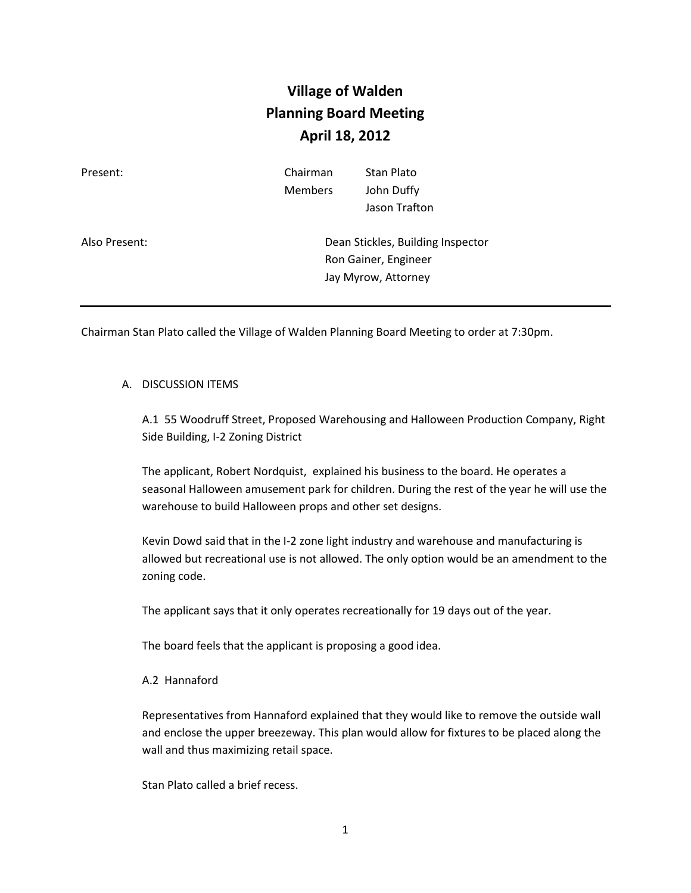## **Village of Walden Planning Board Meeting April 18, 2012**

| Present:      | Chairman<br><b>Members</b>                                                       | Stan Plato<br>John Duffy<br>Jason Trafton |
|---------------|----------------------------------------------------------------------------------|-------------------------------------------|
| Also Present: | Dean Stickles, Building Inspector<br>Ron Gainer, Engineer<br>Jay Myrow, Attorney |                                           |

Chairman Stan Plato called the Village of Walden Planning Board Meeting to order at 7:30pm.

## A. DISCUSSION ITEMS

A.1 55 Woodruff Street, Proposed Warehousing and Halloween Production Company, Right Side Building, I-2 Zoning District

The applicant, Robert Nordquist, explained his business to the board. He operates a seasonal Halloween amusement park for children. During the rest of the year he will use the warehouse to build Halloween props and other set designs.

Kevin Dowd said that in the I-2 zone light industry and warehouse and manufacturing is allowed but recreational use is not allowed. The only option would be an amendment to the zoning code.

The applicant says that it only operates recreationally for 19 days out of the year.

The board feels that the applicant is proposing a good idea.

## A.2 Hannaford

Representatives from Hannaford explained that they would like to remove the outside wall and enclose the upper breezeway. This plan would allow for fixtures to be placed along the wall and thus maximizing retail space.

Stan Plato called a brief recess.